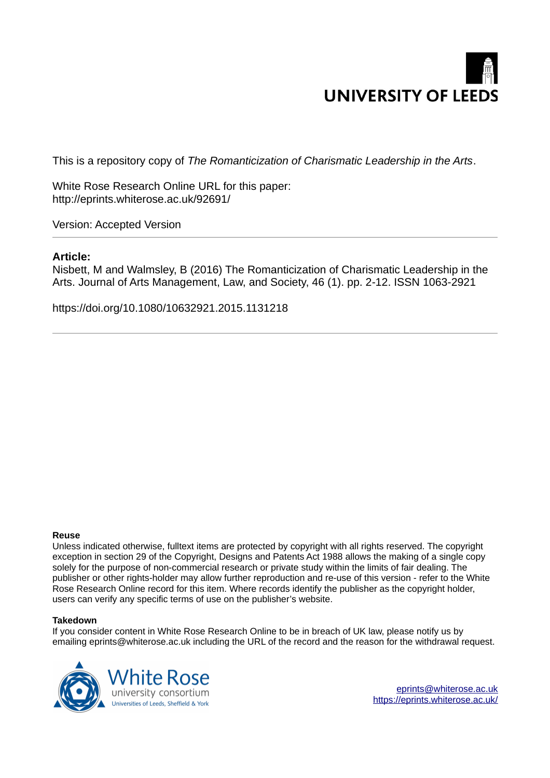

This is a repository copy of *The Romanticization of Charismatic Leadership in the Arts*.

White Rose Research Online URL for this paper: http://eprints.whiterose.ac.uk/92691/

Version: Accepted Version

# **Article:**

Nisbett, M and Walmsley, B (2016) The Romanticization of Charismatic Leadership in the Arts. Journal of Arts Management, Law, and Society, 46 (1). pp. 2-12. ISSN 1063-2921

https://doi.org/10.1080/10632921.2015.1131218

#### **Reuse**

Unless indicated otherwise, fulltext items are protected by copyright with all rights reserved. The copyright exception in section 29 of the Copyright, Designs and Patents Act 1988 allows the making of a single copy solely for the purpose of non-commercial research or private study within the limits of fair dealing. The publisher or other rights-holder may allow further reproduction and re-use of this version - refer to the White Rose Research Online record for this item. Where records identify the publisher as the copyright holder, users can verify any specific terms of use on the publisher's website.

#### **Takedown**

If you consider content in White Rose Research Online to be in breach of UK law, please notify us by emailing eprints@whiterose.ac.uk including the URL of the record and the reason for the withdrawal request.



[eprints@whiterose.ac.uk](mailto:eprints@whiterose.ac.uk) <https://eprints.whiterose.ac.uk/>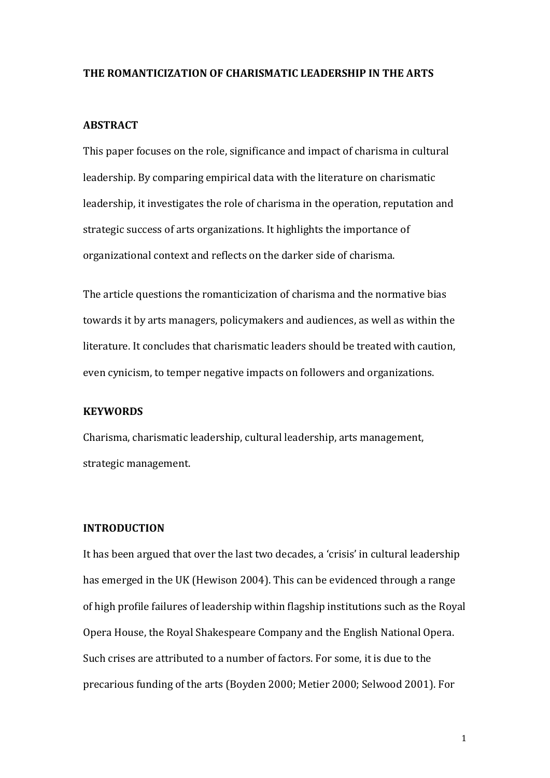### **THE ROMANTICIZATION OF CHARISMATIC LEADERSHIP IN THE ARTS**

#### **ABSTRACT**

This paper focuses on the role, significance and impact of charisma in cultural leadership. By comparing empirical data with the literature on charismatic leadership, it investigates the role of charisma in the operation, reputation and strategic success of arts organizations. It highlights the importance of organizational context and reflects on the darker side of charisma.

The article questions the romanticization of charisma and the normative bias towards it by arts managers, policymakers and audiences, as well as within the literature. It concludes that charismatic leaders should be treated with caution, even cynicism, to temper negative impacts on followers and organizations.

# **KEYWORDS**

Charisma, charismatic leadership, cultural leadership, arts management, strategic management.

### **INTRODUCTION**

It has been argued that over the last two decades, a 'crisis' in cultural leadership has emerged in the UK (Hewison 2004). This can be evidenced through a range of high profile failures of leadership within flagship institutions such as the Royal Opera House, the Royal Shakespeare Company and the English National Opera. Such crises are attributed to a number of factors. For some, it is due to the precarious funding of the arts (Boyden 2000; Metier 2000; Selwood 2001). For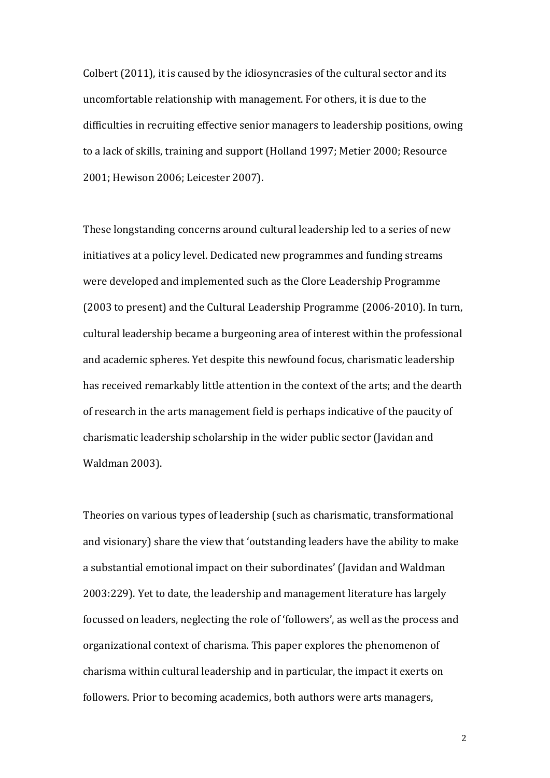Colbert (2011), it is caused by the idiosyncrasies of the cultural sector and its uncomfortable relationship with management. For others, it is due to the difficulties in recruiting effective senior managers to leadership positions, owing to a lack of skills, training and support (Holland 1997; Metier 2000; Resource 2001; Hewison 2006; Leicester 2007).

These longstanding concerns around cultural leadership led to a series of new initiatives at a policy level. Dedicated new programmes and funding streams were developed and implemented such as the Clore Leadership Programme (2003 to present) and the Cultural Leadership Programme (2006-2010). In turn, cultural leadership became a burgeoning area of interest within the professional and academic spheres. Yet despite this newfound focus, charismatic leadership has received remarkably little attention in the context of the arts; and the dearth of research in the arts management field is perhaps indicative of the paucity of charismatic leadership scholarship in the wider public sector (Javidan and Waldman 2003).

Theories on various types of leadership (such as charismatic, transformational and visionary) share the view that 'outstanding leaders have the ability to make a substantial emotional impact on their subordinates' (Javidan and Waldman 2003:229). Yet to date, the leadership and management literature has largely focussed on leaders, neglecting the role of 'followers', as well as the process and organizational context of charisma. This paper explores the phenomenon of charisma within cultural leadership and in particular, the impact it exerts on followers. Prior to becoming academics, both authors were arts managers,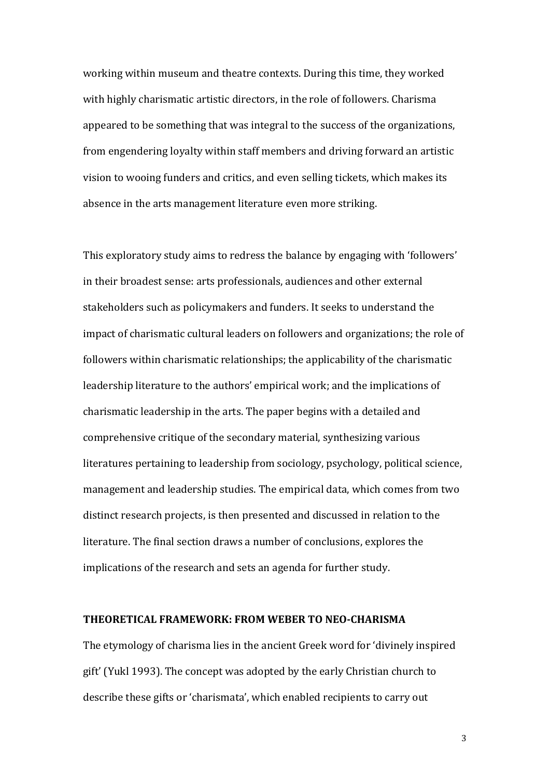working within museum and theatre contexts. During this time, they worked with highly charismatic artistic directors, in the role of followers. Charisma appeared to be something that was integral to the success of the organizations, from engendering loyalty within staff members and driving forward an artistic vision to wooing funders and critics, and even selling tickets, which makes its absence in the arts management literature even more striking.

This exploratory study aims to redress the balance by engaging with 'followers' in their broadest sense: arts professionals, audiences and other external stakeholders such as policymakers and funders. It seeks to understand the impact of charismatic cultural leaders on followers and organizations; the role of followers within charismatic relationships; the applicability of the charismatic leadership literature to the authors' empirical work; and the implications of charismatic leadership in the arts. The paper begins with a detailed and comprehensive critique of the secondary material, synthesizing various literatures pertaining to leadership from sociology, psychology, political science, management and leadership studies. The empirical data, which comes from two distinct research projects, is then presented and discussed in relation to the literature. The final section draws a number of conclusions, explores the implications of the research and sets an agenda for further study.

### **THEORETICAL FRAMEWORK: FROM WEBER TO NEO-CHARISMA**

The etymology of charisma lies in the ancient Greek word for 'divinely inspired gift' (Yukl 1993). The concept was adopted by the early Christian church to describe these gifts or 'charismata', which enabled recipients to carry out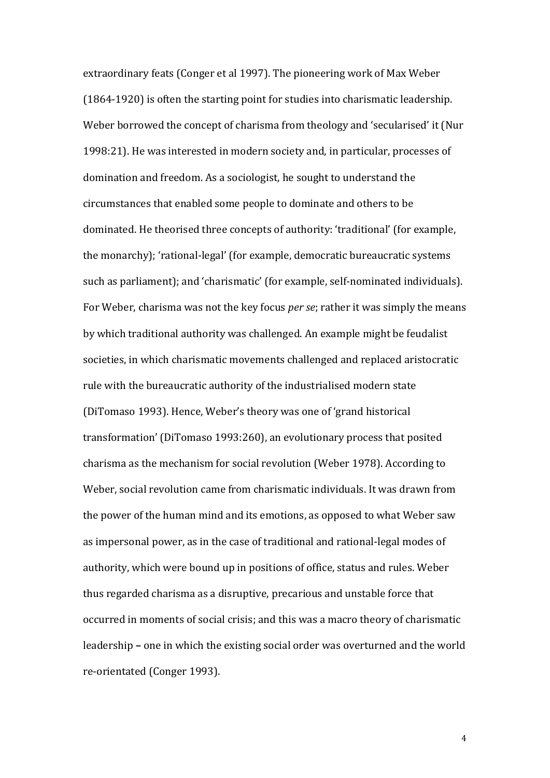extraordinary feats (Conger et al 1997). The pioneering work of Max Weber (1864-1920) is often the starting point for studies into charismatic leadership. Weber borrowed the concept of charisma from theology and 'secularised' it (Nur 1998:21). He was interested in modern society and, in particular, processes of domination and freedom. As a sociologist, he sought to understand the circumstances that enabled some people to dominate and others to be dominated. He theorised three concepts of authority: 'traditional' (for example, the monarchy); 'rational-legal' (for example, democratic bureaucratic systems such as parliament); and 'charismatic' (for example, self-nominated individuals). For Weber, charisma was not the key focus *per se*; rather it was simply the means by which traditional authority was challenged. An example might be feudalist societies, in which charismatic movements challenged and replaced aristocratic rule with the bureaucratic authority of the industrialised modern state (DiTomaso 1993). Hence, Weber's theory was one of 'grand historical transformation' (DiTomaso 1993:260), an evolutionary process that posited charisma as the mechanism for social revolution (Weber 1978). According to Weber, social revolution came from charismatic individuals. It was drawn from the power of the human mind and its emotions, as opposed to what Weber saw as impersonal power, as in the case of traditional and rational-legal modes of authority, which were bound up in positions of office, status and rules. Weber thus regarded charisma as a disruptive, precarious and unstable force that occurred in moments of social crisis; and this was a macro theory of charismatic leadership **‒** one in which the existing social order was overturned and the world re-orientated (Conger 1993).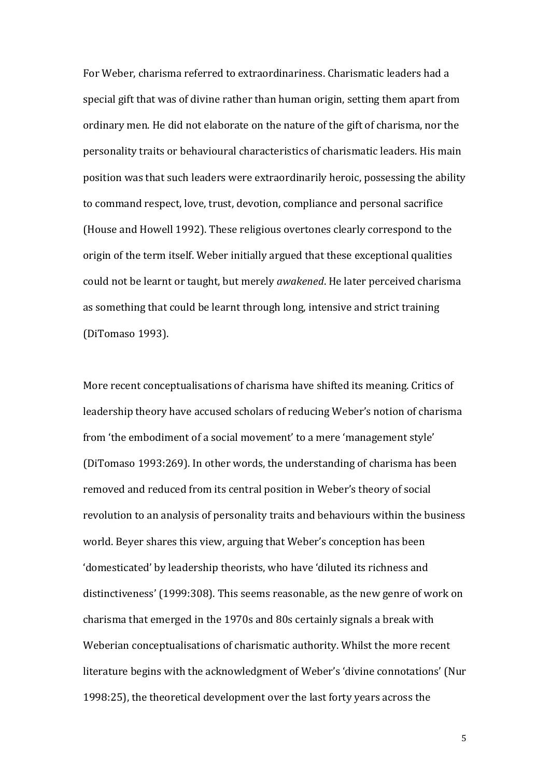For Weber, charisma referred to extraordinariness. Charismatic leaders had a special gift that was of divine rather than human origin, setting them apart from ordinary men. He did not elaborate on the nature of the gift of charisma, nor the personality traits or behavioural characteristics of charismatic leaders. His main position was that such leaders were extraordinarily heroic, possessing the ability to command respect, love, trust, devotion, compliance and personal sacrifice (House and Howell 1992). These religious overtones clearly correspond to the origin of the term itself. Weber initially argued that these exceptional qualities could not be learnt or taught, but merely *awakened*. He later perceived charisma as something that could be learnt through long, intensive and strict training (DiTomaso 1993).

More recent conceptualisations of charisma have shifted its meaning. Critics of leadership theory have accused scholars of reducing Weber's notion of charisma from 'the embodiment of a social movement' to a mere 'management style' (DiTomaso 1993:269). In other words, the understanding of charisma has been removed and reduced from its central position in Weber's theory of social revolution to an analysis of personality traits and behaviours within the business world. Beyer shares this view, arguing that Weber's conception has been 'domesticated' by leadership theorists, who have 'diluted its richness and distinctiveness' (1999:308). This seems reasonable, as the new genre of work on charisma that emerged in the 1970s and 80s certainly signals a break with Weberian conceptualisations of charismatic authority. Whilst the more recent literature begins with the acknowledgment of Weber's 'divine connotations' (Nur 1998:25), the theoretical development over the last forty years across the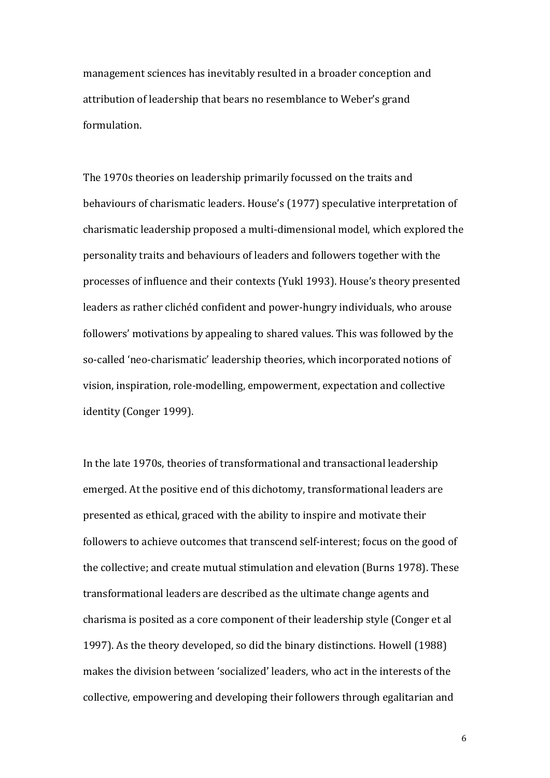management sciences has inevitably resulted in a broader conception and attribution of leadership that bears no resemblance to Weber's grand formulation.

The 1970s theories on leadership primarily focussed on the traits and behaviours of charismatic leaders. House's (1977) speculative interpretation of charismatic leadership proposed a multi-dimensional model, which explored the personality traits and behaviours of leaders and followers together with the processes of influence and their contexts (Yukl 1993). House's theory presented leaders as rather clichéd confident and power-hungry individuals, who arouse followers' motivations by appealing to shared values. This was followed by the so-called 'neo-charismatic' leadership theories, which incorporated notions of vision, inspiration, role-modelling, empowerment, expectation and collective identity (Conger 1999).

In the late 1970s, theories of transformational and transactional leadership emerged. At the positive end of this dichotomy, transformational leaders are presented as ethical, graced with the ability to inspire and motivate their followers to achieve outcomes that transcend self-interest; focus on the good of the collective; and create mutual stimulation and elevation (Burns 1978). These transformational leaders are described as the ultimate change agents and charisma is posited as a core component of their leadership style (Conger et al 1997). As the theory developed, so did the binary distinctions. Howell (1988) makes the division between 'socialized' leaders, who act in the interests of the collective, empowering and developing their followers through egalitarian and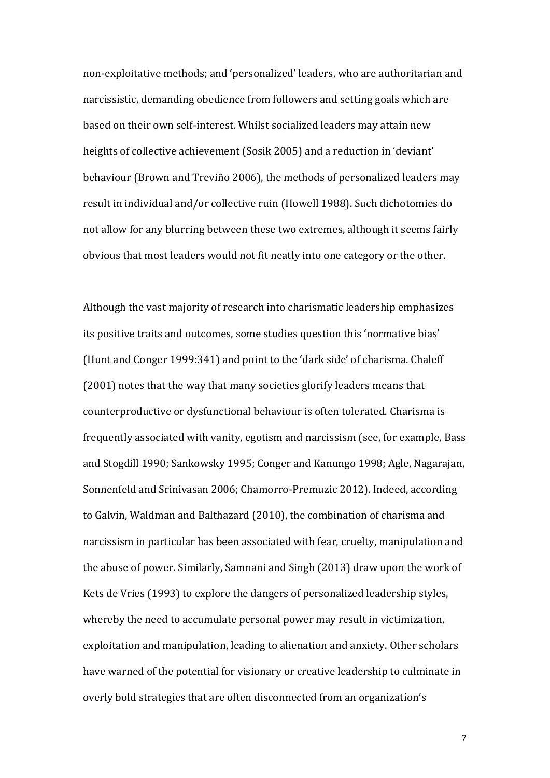non-exploitative methods; and 'personalized' leaders, who are authoritarian and narcissistic, demanding obedience from followers and setting goals which are based on their own self-interest. Whilst socialized leaders may attain new heights of collective achievement (Sosik 2005) and a reduction in 'deviant' behaviour (Brown and Treviño 2006), the methods of personalized leaders may result in individual and/or collective ruin (Howell 1988). Such dichotomies do not allow for any blurring between these two extremes, although it seems fairly obvious that most leaders would not fit neatly into one category or the other.

Although the vast majority of research into charismatic leadership emphasizes its positive traits and outcomes, some studies question this 'normative bias' (Hunt and Conger 1999:341) and point to the 'dark side' of charisma. Chaleff (2001) notes that the way that many societies glorify leaders means that counterproductive or dysfunctional behaviour is often tolerated. Charisma is frequently associated with vanity, egotism and narcissism (see, for example, Bass and Stogdill 1990; Sankowsky 1995; Conger and Kanungo 1998; Agle, Nagarajan, Sonnenfeld and Srinivasan 2006; Chamorro-Premuzic 2012). Indeed, according to Galvin, Waldman and Balthazard (2010), the combination of charisma and narcissism in particular has been associated with fear, cruelty, manipulation and the abuse of power. Similarly, Samnani and Singh (2013) draw upon the work of Kets de Vries (1993) to explore the dangers of personalized leadership styles, whereby the need to accumulate personal power may result in victimization, exploitation and manipulation, leading to alienation and anxiety. Other scholars have warned of the potential for visionary or creative leadership to culminate in overly bold strategies that are often disconnected from an organization's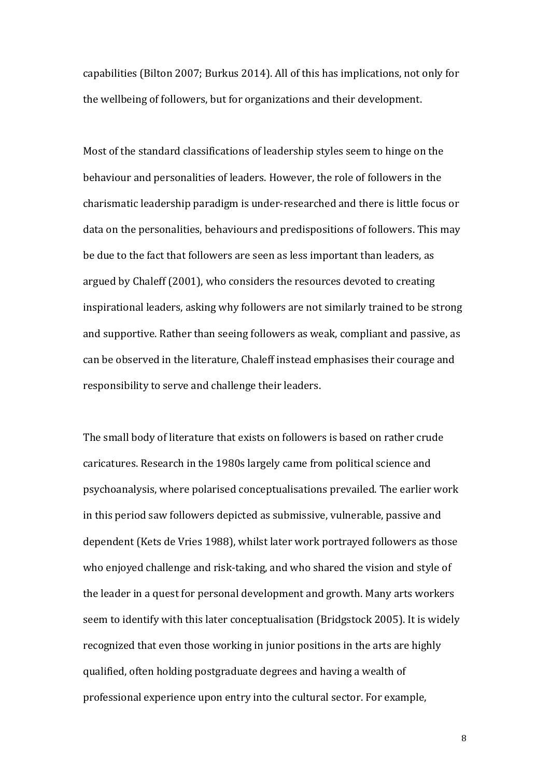capabilities (Bilton 2007; Burkus 2014). All of this has implications, not only for the wellbeing of followers, but for organizations and their development.

Most of the standard classifications of leadership styles seem to hinge on the behaviour and personalities of leaders. However, the role of followers in the charismatic leadership paradigm is under-researched and there is little focus or data on the personalities, behaviours and predispositions of followers. This may be due to the fact that followers are seen as less important than leaders, as argued by Chaleff (2001), who considers the resources devoted to creating inspirational leaders, asking why followers are not similarly trained to be strong and supportive. Rather than seeing followers as weak, compliant and passive, as can be observed in the literature, Chaleff instead emphasises their courage and responsibility to serve and challenge their leaders.

The small body of literature that exists on followers is based on rather crude caricatures. Research in the 1980s largely came from political science and psychoanalysis, where polarised conceptualisations prevailed. The earlier work in this period saw followers depicted as submissive, vulnerable, passive and dependent (Kets de Vries 1988), whilst later work portrayed followers as those who enjoyed challenge and risk-taking, and who shared the vision and style of the leader in a quest for personal development and growth. Many arts workers seem to identify with this later conceptualisation (Bridgstock 2005). It is widely recognized that even those working in junior positions in the arts are highly qualified, often holding postgraduate degrees and having a wealth of professional experience upon entry into the cultural sector. For example,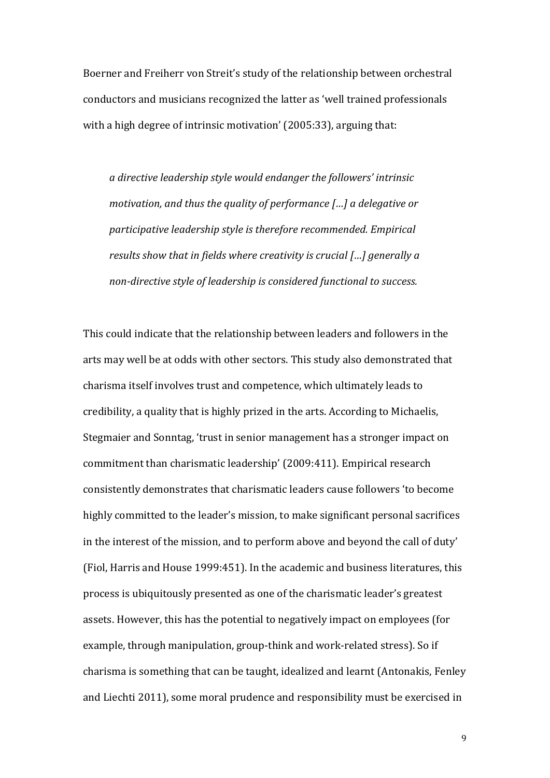Boerner and Freiherr von Streit's study of the relationship between orchestral conductors and musicians recognized the latter as 'well trained professionals with a high degree of intrinsic motivation' (2005:33), arguing that:

*a directive leadership style would endanger the followers' intrinsic motivation, and thus the quality of performance [┼] a delegative or participative leadership style is therefore recommended. Empirical results show that in fields where creativity is crucial [* $\ldots$ *] generally a non-directive style of leadership is considered functional to success.*

This could indicate that the relationship between leaders and followers in the arts may well be at odds with other sectors. This study also demonstrated that charisma itself involves trust and competence, which ultimately leads to credibility, a quality that is highly prized in the arts. According to Michaelis, Stegmaier and Sonntag, 'trust in senior management has a stronger impact on commitment than charismatic leadership' (2009:411). Empirical research consistently demonstrates that charismatic leaders cause followers 'to become highly committed to the leader's mission, to make significant personal sacrifices in the interest of the mission, and to perform above and beyond the call of duty' (Fiol, Harris and House 1999:451). In the academic and business literatures, this process is ubiquitously presented as one of the charismatic leader's greatest assets. However, this has the potential to negatively impact on employees (for example, through manipulation, group-think and work-related stress). So if charisma is something that can be taught, idealized and learnt (Antonakis, Fenley and Liechti 2011), some moral prudence and responsibility must be exercised in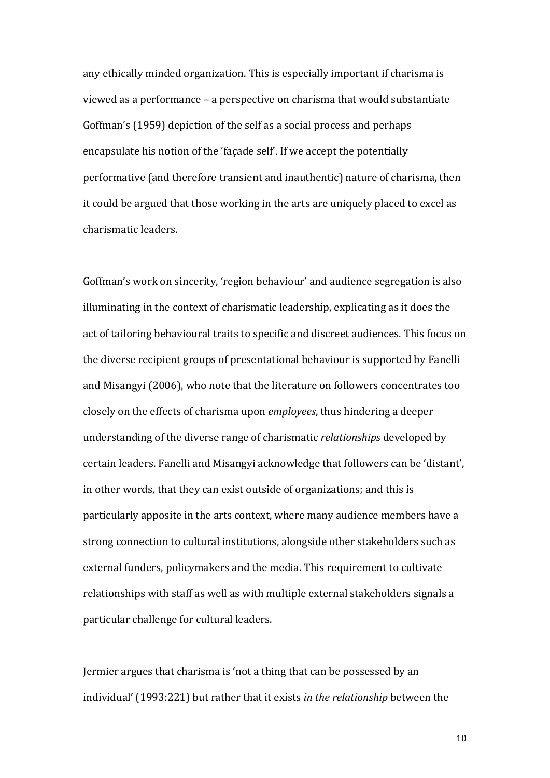any ethically minded organization. This is especially important if charisma is viewed as a performance – a perspective on charisma that would substantiate Goffman's (1959) depiction of the self as a social process and perhaps encapsulate his notion of the 'facade self'. If we accept the potentially performative (and therefore transient and inauthentic) nature of charisma, then it could be argued that those working in the arts are uniquely placed to excel as charismatic leaders.

Goffman's work on sincerity, 'region behaviour' and audience segregation is also illuminating in the context of charismatic leadership, explicating as it does the act of tailoring behavioural traits to specific and discreet audiences. This focus on the diverse recipient groups of presentational behaviour is supported by Fanelli and Misangyi (2006), who note that the literature on followers concentrates too closely on the effects of charisma upon *employees*, thus hindering a deeper understanding of the diverse range of charismatic *relationships* developed by certain leaders. Fanelli and Misangyi acknowledge that followers can be 'distant', in other words, that they can exist outside of organizations; and this is particularly apposite in the arts context, where many audience members have a strong connection to cultural institutions, alongside other stakeholders such as external funders, policymakers and the media. This requirement to cultivate relationships with staff as well as with multiple external stakeholders signals a particular challenge for cultural leaders.

Jermier argues that charisma is 'not a thing that can be possessed by an individual' (1993:221) but rather that it exists *in the relationship* between the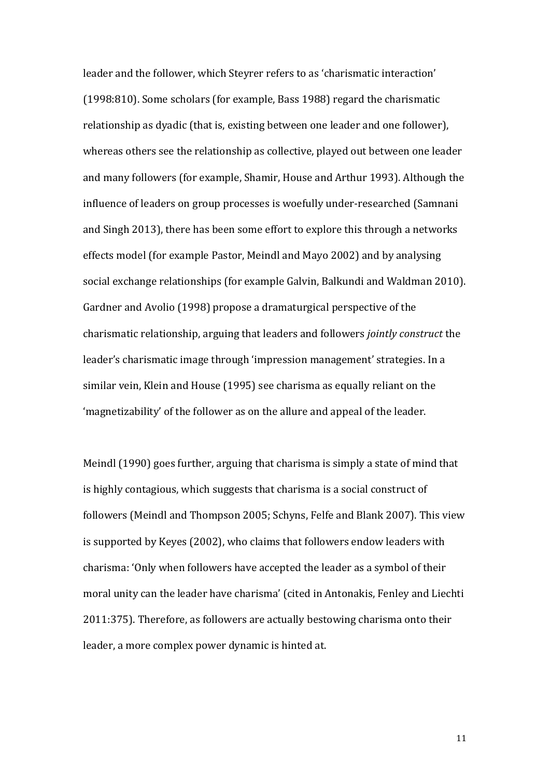leader and the follower, which Steyrer refers to as 'charismatic interaction' (1998:810). Some scholars (for example, Bass 1988) regard the charismatic relationship as dyadic (that is, existing between one leader and one follower), whereas others see the relationship as collective, played out between one leader and many followers (for example, Shamir, House and Arthur 1993). Although the influence of leaders on group processes is woefully under-researched (Samnani and Singh 2013), there has been some effort to explore this through a networks effects model (for example Pastor, Meindl and Mayo 2002) and by analysing social exchange relationships (for example Galvin, Balkundi and Waldman 2010). Gardner and Avolio (1998) propose a dramaturgical perspective of the charismatic relationship, arguing that leaders and followers *jointly construct* the leader's charismatic image through 'impression management' strategies. In a similar vein, Klein and House (1995) see charisma as equally reliant on the 'magnetizability' of the follower as on the allure and appeal of the leader.

Meindl (1990) goes further, arguing that charisma is simply a state of mind that is highly contagious, which suggests that charisma is a social construct of followers (Meindl and Thompson 2005; Schyns, Felfe and Blank 2007). This view is supported by Keyes (2002), who claims that followers endow leaders with charisma: 'Only when followers have accepted the leader as a symbol of their moral unity can the leader have charisma' (cited in Antonakis, Fenley and Liechti 2011:375). Therefore, as followers are actually bestowing charisma onto their leader, a more complex power dynamic is hinted at.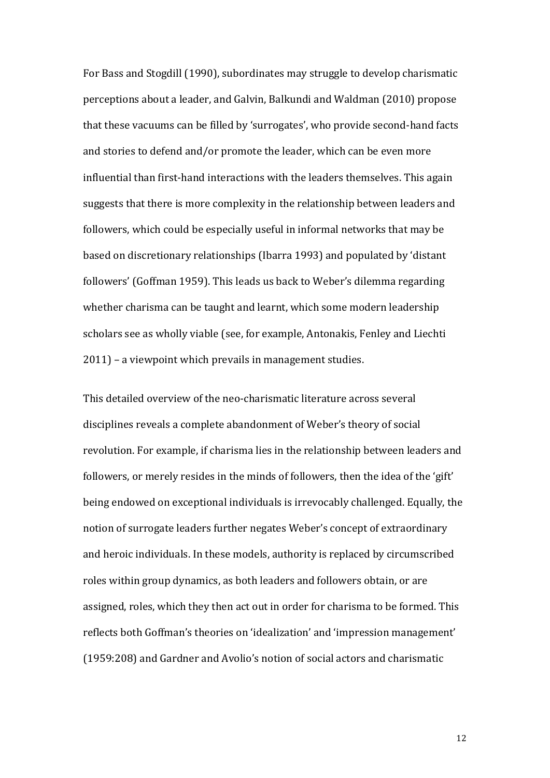For Bass and Stogdill (1990), subordinates may struggle to develop charismatic perceptions about a leader, and Galvin, Balkundi and Waldman (2010) propose that these vacuums can be filled by 'surrogates', who provide second-hand facts and stories to defend and/or promote the leader, which can be even more influential than first-hand interactions with the leaders themselves. This again suggests that there is more complexity in the relationship between leaders and followers, which could be especially useful in informal networks that may be based on discretionary relationships (Ibarra 1993) and populated by 'distant followers' (Goffman 1959). This leads us back to Weber's dilemma regarding whether charisma can be taught and learnt, which some modern leadership scholars see as wholly viable (see, for example, Antonakis, Fenley and Liechti 2011) – a viewpoint which prevails in management studies.

This detailed overview of the neo-charismatic literature across several disciplines reveals a complete abandonment of Weber's theory of social revolution. For example, if charisma lies in the relationship between leaders and followers, or merely resides in the minds of followers, then the idea of the 'gift' being endowed on exceptional individuals is irrevocably challenged. Equally, the notion of surrogate leaders further negates Weber's concept of extraordinary and heroic individuals. In these models, authority is replaced by circumscribed roles within group dynamics, as both leaders and followers obtain, or are assigned, roles, which they then act out in order for charisma to be formed. This reflects both Goffman's theories on 'idealization' and 'impression management'  $(1959:208)$  and Gardner and Avolio's notion of social actors and charismatic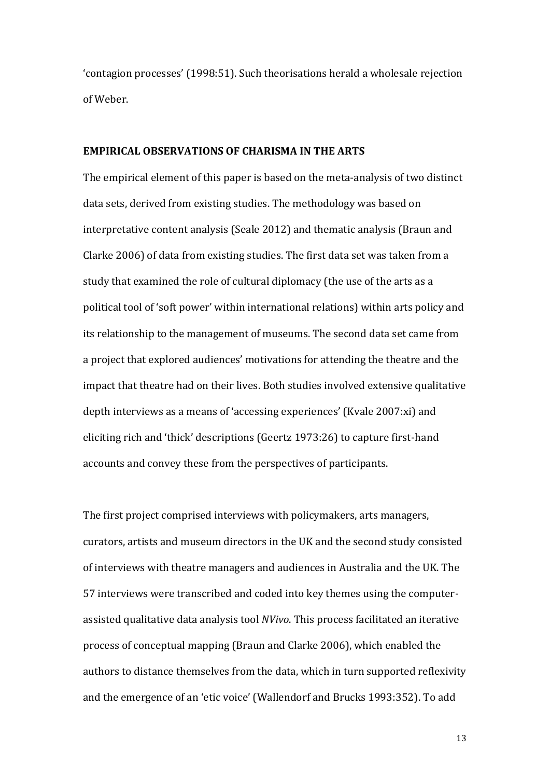'contagion processes' (1998:51). Such theorisations herald a wholesale rejection of Weber.

### **EMPIRICAL OBSERVATIONS OF CHARISMA IN THE ARTS**

The empirical element of this paper is based on the meta-analysis of two distinct data sets, derived from existing studies. The methodology was based on interpretative content analysis (Seale 2012) and thematic analysis (Braun and Clarke 2006) of data from existing studies. The first data set was taken from a study that examined the role of cultural diplomacy (the use of the arts as a political tool of 'soft power' within international relations) within arts policy and its relationship to the management of museums. The second data set came from a project that explored audiences' motivations for attending the theatre and the impact that theatre had on their lives. Both studies involved extensive qualitative depth interviews as a means of 'accessing experiences' (Kvale 2007:xi) and eliciting rich and 'thick' descriptions (Geertz 1973:26) to capture first-hand accounts and convey these from the perspectives of participants.

The first project comprised interviews with policymakers, arts managers, curators, artists and museum directors in the UK and the second study consisted of interviews with theatre managers and audiences in Australia and the UK. The 57 interviews were transcribed and coded into key themes using the computerassisted qualitative data analysis tool *NVivo*. This process facilitated an iterative process of conceptual mapping (Braun and Clarke 2006), which enabled the authors to distance themselves from the data, which in turn supported reflexivity and the emergence of an 'etic voice' (Wallendorf and Brucks 1993:352). To add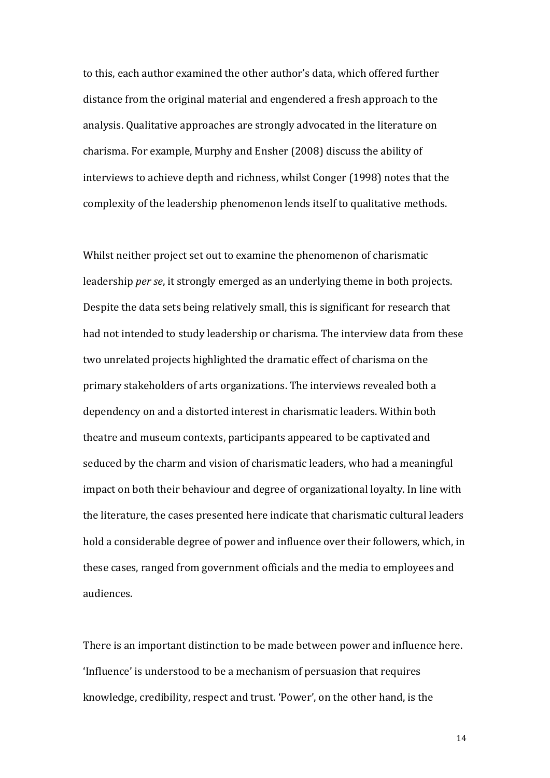to this, each author examined the other author's data, which offered further distance from the original material and engendered a fresh approach to the analysis. Qualitative approaches are strongly advocated in the literature on charisma. For example, Murphy and Ensher (2008) discuss the ability of interviews to achieve depth and richness, whilst Conger (1998) notes that the complexity of the leadership phenomenon lends itself to qualitative methods.

Whilst neither project set out to examine the phenomenon of charismatic leadership *per se*, it strongly emerged as an underlying theme in both projects. Despite the data sets being relatively small, this is significant for research that had not intended to study leadership or charisma. The interview data from these two unrelated projects highlighted the dramatic effect of charisma on the primary stakeholders of arts organizations. The interviews revealed both a dependency on and a distorted interest in charismatic leaders. Within both theatre and museum contexts, participants appeared to be captivated and seduced by the charm and vision of charismatic leaders, who had a meaningful impact on both their behaviour and degree of organizational loyalty. In line with the literature, the cases presented here indicate that charismatic cultural leaders hold a considerable degree of power and influence over their followers, which, in these cases, ranged from government officials and the media to employees and audiences.

There is an important distinction to be made between power and influence here. 'Influence' is understood to be a mechanism of persuasion that requires knowledge, credibility, respect and trust. 'Power', on the other hand, is the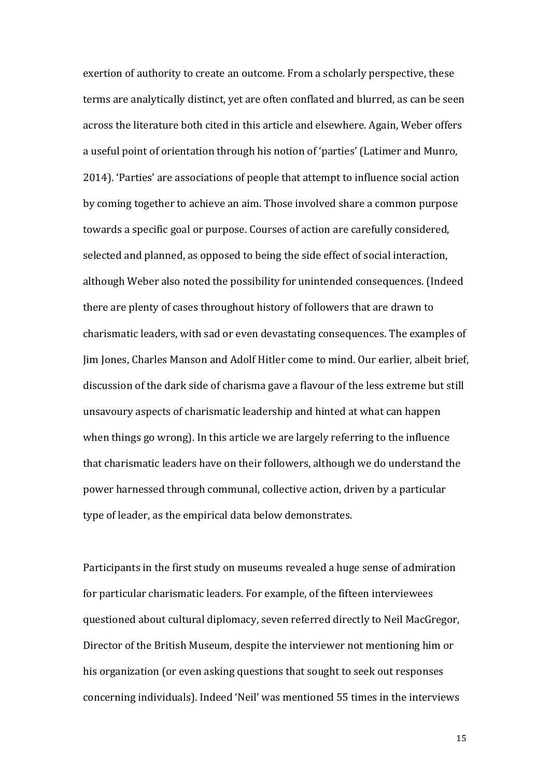exertion of authority to create an outcome. From a scholarly perspective, these terms are analytically distinct, yet are often conflated and blurred, as can be seen across the literature both cited in this article and elsewhere. Again, Weber offers a useful point of orientation through his notion of 'parties' (Latimer and Munro, 2014). 'Parties' are associations of people that attempt to influence social action by coming together to achieve an aim. Those involved share a common purpose towards a specific goal or purpose. Courses of action are carefully considered, selected and planned, as opposed to being the side effect of social interaction, although Weber also noted the possibility for unintended consequences. (Indeed there are plenty of cases throughout history of followers that are drawn to charismatic leaders, with sad or even devastating consequences. The examples of Jim Jones, Charles Manson and Adolf Hitler come to mind. Our earlier, albeit brief, discussion of the dark side of charisma gave a flavour of the less extreme but still unsavoury aspects of charismatic leadership and hinted at what can happen when things go wrong). In this article we are largely referring to the influence that charismatic leaders have on their followers, although we do understand the power harnessed through communal, collective action, driven by a particular type of leader, as the empirical data below demonstrates.

Participants in the first study on museums revealed a huge sense of admiration for particular charismatic leaders. For example, of the fifteen interviewees questioned about cultural diplomacy, seven referred directly to Neil MacGregor, Director of the British Museum, despite the interviewer not mentioning him or his organization (or even asking questions that sought to seek out responses concerning individuals). Indeed 'Neil' was mentioned 55 times in the interviews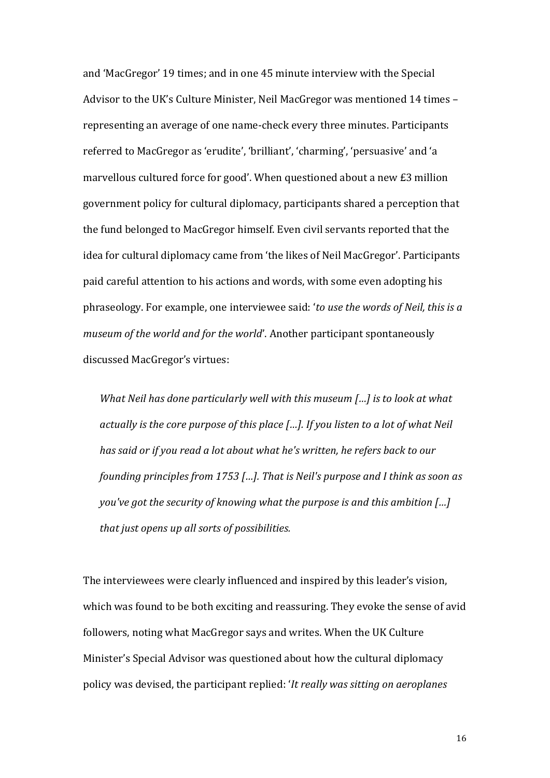and 'MacGregor' 19 times; and in one 45 minute interview with the Special Advisor to the UK's Culture Minister, Neil MacGregor was mentioned 14 times – representing an average of one name-check every three minutes. Participants referred to MacGregor as 'erudite', 'brilliant', 'charming', 'persuasive' and 'a marvellous cultured force for good'. When questioned about a new £3 million government policy for cultural diplomacy, participants shared a perception that the fund belonged to MacGregor himself. Even civil servants reported that the idea for cultural diplomacy came from 'the likes of Neil MacGregor'. Participants paid careful attention to his actions and words, with some even adopting his phraseology. For example, one interviewee said: 'to use the words of Neil, this is a *museum of the world and for the world'*. Another participant spontaneously discussed MacGregor's virtues:

*What Neil has done particularly well with this museum [...] is to look at what actually is the core purpose of this place [...]. If you listen to a lot of what Neil has said or if you read a lot about what he's written, he refers back to our founding principles from 1753 [...]. That is Neil's purpose and I think as soon as you've got the security of knowing what the purpose is and this ambition [...] that just opens up all sorts of possibilities.*

The interviewees were clearly influenced and inspired by this leader's vision, which was found to be both exciting and reassuring. They evoke the sense of avid followers, noting what MacGregor says and writes. When the UK Culture Minister's Special Advisor was questioned about how the cultural diplomacy policy was devised, the participant replied: ╅*It really was sitting on aeroplanes*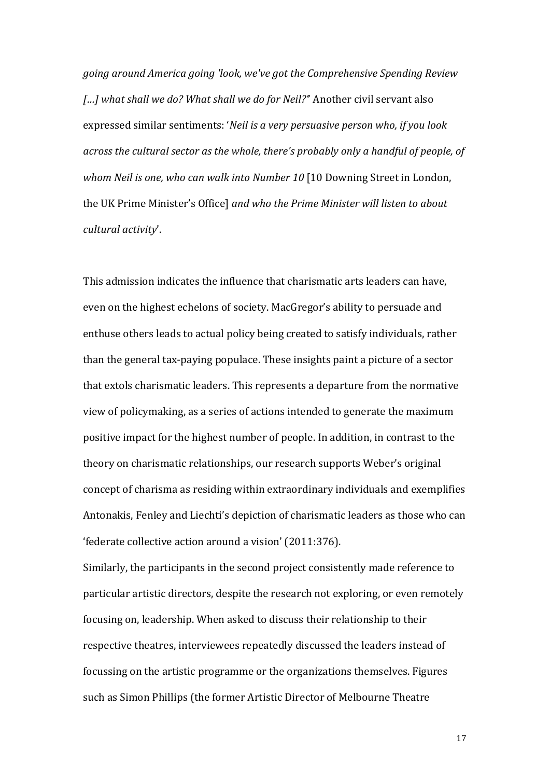*going around America going 'look, we've got the Comprehensive Spending Review [...]* what shall we do? What shall we do for Neil?" Another civil servant also expressed similar sentiments: 'Neil is a very persuasive person who, if you look *across the cultural sector as the whole, there's probably only a handful of people, of whom Neil is one, who can walk into Number 10* [10 Downing Street in London, the UK Prime Minister's Office] and who the Prime Minister will listen to about *cultural activity'.* 

This admission indicates the influence that charismatic arts leaders can have, even on the highest echelons of society. MacGregor's ability to persuade and enthuse others leads to actual policy being created to satisfy individuals, rather than the general tax-paying populace. These insights paint a picture of a sector that extols charismatic leaders. This represents a departure from the normative view of policymaking, as a series of actions intended to generate the maximum positive impact for the highest number of people. In addition, in contrast to the theory on charismatic relationships, our research supports Weber's original concept of charisma as residing within extraordinary individuals and exemplifies Antonakis, Fenley and Liechti's depiction of charismatic leaders as those who can 'federate collective action around a vision' (2011:376).

Similarly, the participants in the second project consistently made reference to particular artistic directors, despite the research not exploring, or even remotely focusing on, leadership. When asked to discuss their relationship to their respective theatres, interviewees repeatedly discussed the leaders instead of focussing on the artistic programme or the organizations themselves. Figures such as Simon Phillips (the former Artistic Director of Melbourne Theatre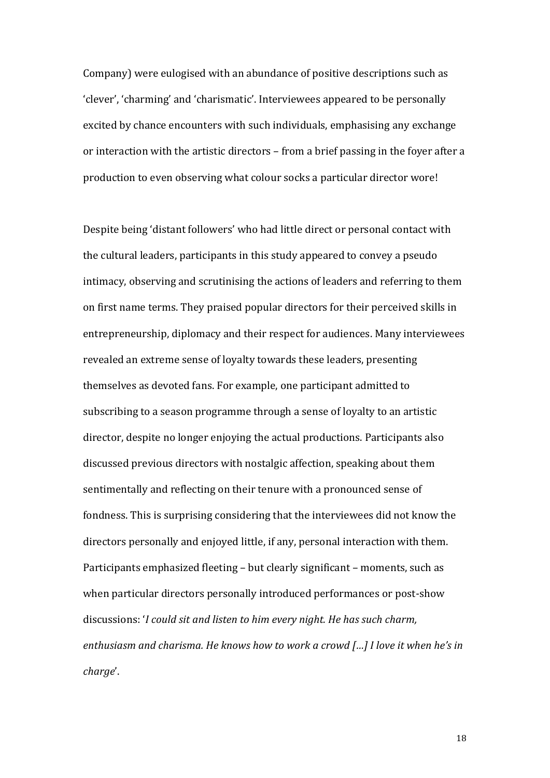Company) were eulogised with an abundance of positive descriptions such as 'clever', 'charming' and 'charismatic'. Interviewees appeared to be personally excited by chance encounters with such individuals, emphasising any exchange or interaction with the artistic directors – from a brief passing in the fover after a production to even observing what colour socks a particular director wore!

Despite being 'distant followers' who had little direct or personal contact with the cultural leaders, participants in this study appeared to convey a pseudo intimacy, observing and scrutinising the actions of leaders and referring to them on first name terms. They praised popular directors for their perceived skills in entrepreneurship, diplomacy and their respect for audiences. Many interviewees revealed an extreme sense of loyalty towards these leaders, presenting themselves as devoted fans. For example, one participant admitted to subscribing to a season programme through a sense of loyalty to an artistic director, despite no longer enjoying the actual productions. Participants also discussed previous directors with nostalgic affection, speaking about them sentimentally and reflecting on their tenure with a pronounced sense of fondness. This is surprising considering that the interviewees did not know the directors personally and enjoyed little, if any, personal interaction with them. Participants emphasized fleeting – but clearly significant – moments, such as when particular directors personally introduced performances or post-show discussions: '*I could sit and listen to him every night. He has such charm, enthusiasm and charisma. He knows how to work a crowd [...] I love it when he's in* charge'.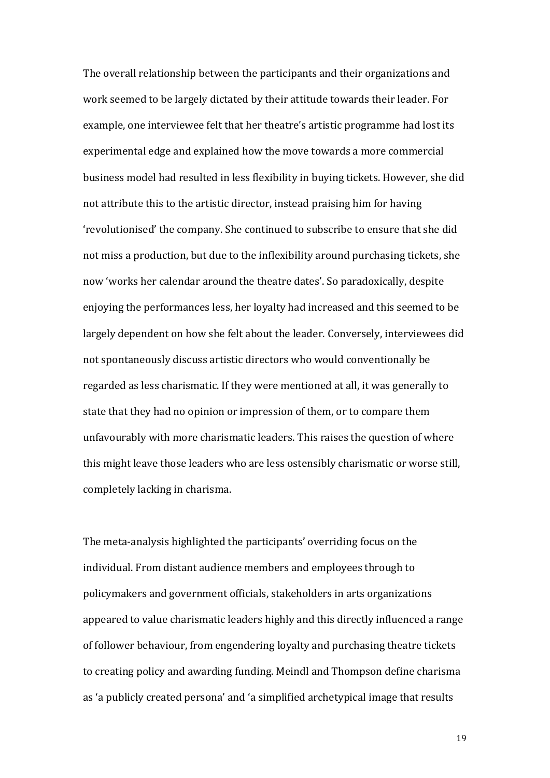The overall relationship between the participants and their organizations and work seemed to be largely dictated by their attitude towards their leader. For example, one interviewee felt that her theatre's artistic programme had lost its experimental edge and explained how the move towards a more commercial business model had resulted in less flexibility in buying tickets. However, she did not attribute this to the artistic director, instead praising him for having 'revolutionised' the company. She continued to subscribe to ensure that she did not miss a production, but due to the inflexibility around purchasing tickets, she now 'works her calendar around the theatre dates'. So paradoxically, despite enjoying the performances less, her loyalty had increased and this seemed to be largely dependent on how she felt about the leader. Conversely, interviewees did not spontaneously discuss artistic directors who would conventionally be regarded as less charismatic. If they were mentioned at all, it was generally to state that they had no opinion or impression of them, or to compare them unfavourably with more charismatic leaders. This raises the question of where this might leave those leaders who are less ostensibly charismatic or worse still, completely lacking in charisma.

The meta-analysis highlighted the participants' overriding focus on the individual. From distant audience members and employees through to policymakers and government officials, stakeholders in arts organizations appeared to value charismatic leaders highly and this directly influenced a range of follower behaviour, from engendering loyalty and purchasing theatre tickets to creating policy and awarding funding. Meindl and Thompson define charisma as 'a publicly created persona' and 'a simplified archetypical image that results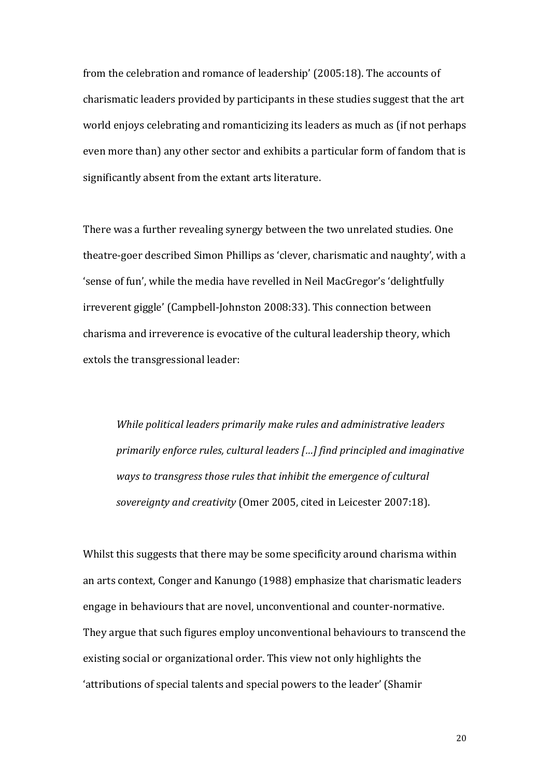from the celebration and romance of leadership' (2005:18). The accounts of charismatic leaders provided by participants in these studies suggest that the art world enjoys celebrating and romanticizing its leaders as much as (if not perhaps even more than) any other sector and exhibits a particular form of fandom that is significantly absent from the extant arts literature.

There was a further revealing synergy between the two unrelated studies. One theatre-goer described Simon Phillips as 'clever, charismatic and naughty', with a 'sense of fun', while the media have revelled in Neil MacGregor's 'delightfully irreverent giggle' (Campbell-Johnston 2008:33). This connection between charisma and irreverence is evocative of the cultural leadership theory, which extols the transgressional leader:

*While political leaders primarily make rules and administrative leaders primarily enforce rules, cultural leaders [...] find principled and imaginative ways to transgress those rules that inhibit the emergence of cultural sovereignty and creativity* (Omer 2005, cited in Leicester 2007:18).

Whilst this suggests that there may be some specificity around charisma within an arts context, Conger and Kanungo (1988) emphasize that charismatic leaders engage in behaviours that are novel, unconventional and counter-normative. They argue that such figures employ unconventional behaviours to transcend the existing social or organizational order. This view not only highlights the 'attributions of special talents and special powers to the leader' (Shamir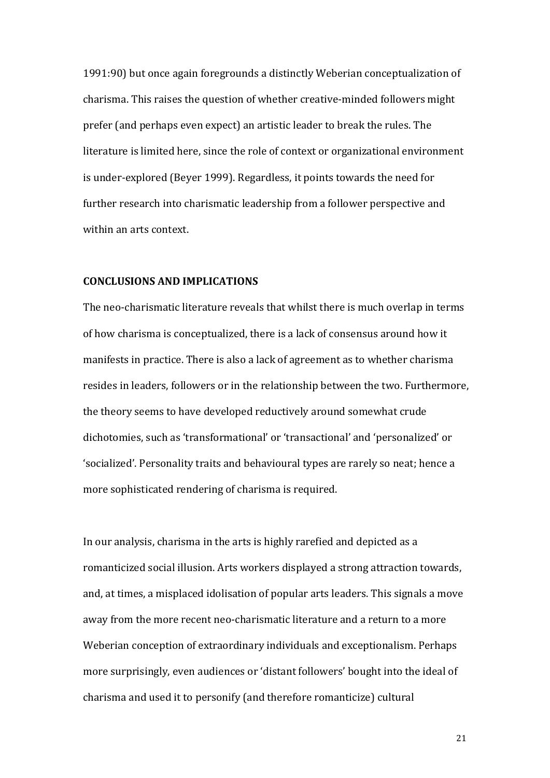1991:90) but once again foregrounds a distinctly Weberian conceptualization of charisma. This raises the question of whether creative-minded followers might prefer (and perhaps even expect) an artistic leader to break the rules. The literature is limited here, since the role of context or organizational environment is under-explored (Beyer 1999). Regardless, it points towards the need for further research into charismatic leadership from a follower perspective and within an arts context.

# **CONCLUSIONS AND IMPLICATIONS**

The neo-charismatic literature reveals that whilst there is much overlap in terms of how charisma is conceptualized, there is a lack of consensus around how it manifests in practice. There is also a lack of agreement as to whether charisma resides in leaders, followers or in the relationship between the two. Furthermore, the theory seems to have developed reductively around somewhat crude dichotomies, such as 'transformational' or 'transactional' and 'personalized' or 'socialized'. Personality traits and behavioural types are rarely so neat; hence a more sophisticated rendering of charisma is required.

In our analysis, charisma in the arts is highly rarefied and depicted as a romanticized social illusion. Arts workers displayed a strong attraction towards, and, at times, a misplaced idolisation of popular arts leaders. This signals a move away from the more recent neo-charismatic literature and a return to a more Weberian conception of extraordinary individuals and exceptionalism. Perhaps more surprisingly, even audiences or 'distant followers' bought into the ideal of charisma and used it to personify (and therefore romanticize) cultural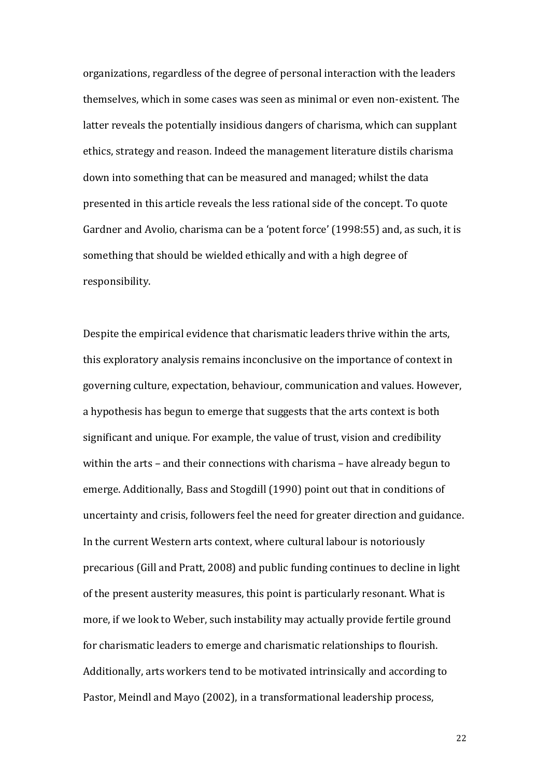organizations, regardless of the degree of personal interaction with the leaders themselves, which in some cases was seen as minimal or even non-existent. The latter reveals the potentially insidious dangers of charisma, which can supplant ethics, strategy and reason. Indeed the management literature distils charisma down into something that can be measured and managed; whilst the data presented in this article reveals the less rational side of the concept. To quote Gardner and Avolio, charisma can be a 'potent force' (1998:55) and, as such, it is something that should be wielded ethically and with a high degree of responsibility.

Despite the empirical evidence that charismatic leaders thrive within the arts, this exploratory analysis remains inconclusive on the importance of context in governing culture, expectation, behaviour, communication and values. However, a hypothesis has begun to emerge that suggests that the arts context is both significant and unique. For example, the value of trust, vision and credibility within the arts – and their connections with charisma – have already begun to emerge. Additionally, Bass and Stogdill (1990) point out that in conditions of uncertainty and crisis, followers feel the need for greater direction and guidance. In the current Western arts context, where cultural labour is notoriously precarious (Gill and Pratt, 2008) and public funding continues to decline in light of the present austerity measures, this point is particularly resonant. What is more, if we look to Weber, such instability may actually provide fertile ground for charismatic leaders to emerge and charismatic relationships to flourish. Additionally, arts workers tend to be motivated intrinsically and according to Pastor, Meindl and Mayo (2002), in a transformational leadership process,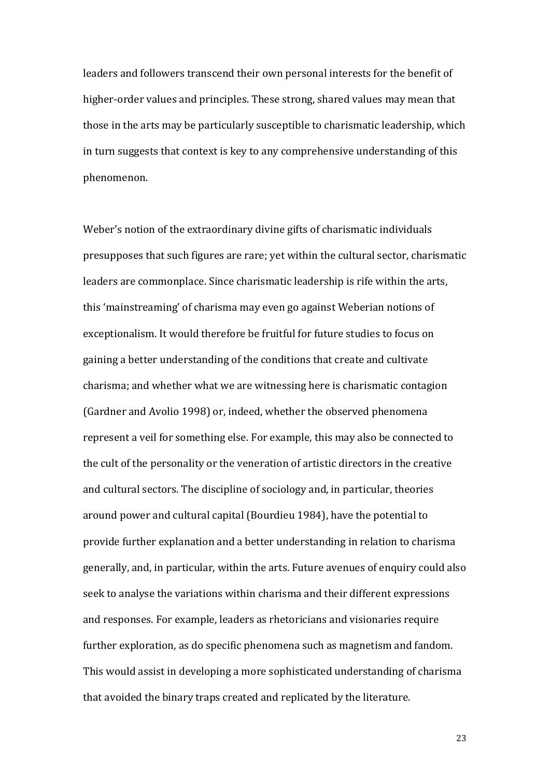leaders and followers transcend their own personal interests for the benefit of higher-order values and principles. These strong, shared values may mean that those in the arts may be particularly susceptible to charismatic leadership, which in turn suggests that context is key to any comprehensive understanding of this phenomenon.

Weber's notion of the extraordinary divine gifts of charismatic individuals presupposes that such figures are rare; yet within the cultural sector, charismatic leaders are commonplace. Since charismatic leadership is rife within the arts, this 'mainstreaming' of charisma may even go against Weberian notions of exceptionalism. It would therefore be fruitful for future studies to focus on gaining a better understanding of the conditions that create and cultivate charisma; and whether what we are witnessing here is charismatic contagion (Gardner and Avolio 1998) or, indeed, whether the observed phenomena represent a veil for something else. For example, this may also be connected to the cult of the personality or the veneration of artistic directors in the creative and cultural sectors. The discipline of sociology and, in particular, theories around power and cultural capital (Bourdieu 1984), have the potential to provide further explanation and a better understanding in relation to charisma generally, and, in particular, within the arts. Future avenues of enquiry could also seek to analyse the variations within charisma and their different expressions and responses. For example, leaders as rhetoricians and visionaries require further exploration, as do specific phenomena such as magnetism and fandom. This would assist in developing a more sophisticated understanding of charisma that avoided the binary traps created and replicated by the literature.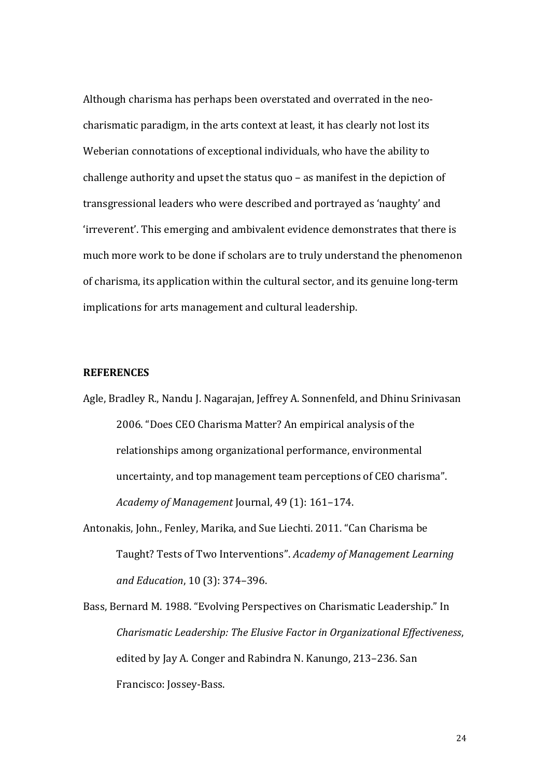Although charisma has perhaps been overstated and overrated in the neocharismatic paradigm, in the arts context at least, it has clearly not lost its Weberian connotations of exceptional individuals, who have the ability to challenge authority and upset the status quo – as manifest in the depiction of transgressional leaders who were described and portrayed as 'naughty' and 'irreverent'. This emerging and ambivalent evidence demonstrates that there is much more work to be done if scholars are to truly understand the phenomenon of charisma, its application within the cultural sector, and its genuine long-term implications for arts management and cultural leadership.

## **REFERENCES**

- Agle, Bradley R., Nandu J. Nagarajan, Jeffrey A. Sonnenfeld, and Dhinu Srinivasan 2006. "Does CEO Charisma Matter? An empirical analysis of the relationships among organizational performance, environmental uncertainty, and top management team perceptions of CEO charisma". *Academy of Management* Journal, 49 (1): 161‒174.
- Antonakis, John., Fenley, Marika, and Sue Liechti. 2011. "Can Charisma be Taught? Tests of Two Interventions╊. *Academy of Management Learning and Education*, 10 (3): 374‒396.
- Bass, Bernard M. 1988. "Evolving Perspectives on Charismatic Leadership." In *Charismatic Leadership: The Elusive Factor in Organizational Effectiveness*, edited by Jay A. Conger and Rabindra N. Kanungo, 213–236. San Francisco: Jossey-Bass.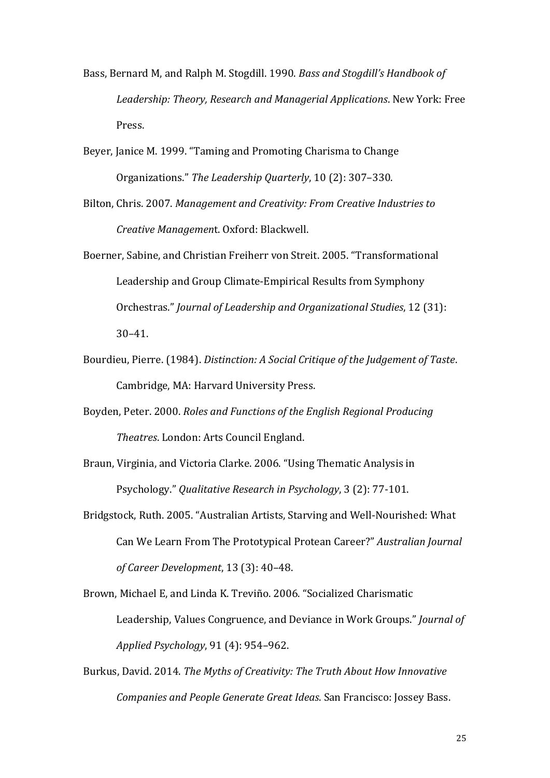- Bass, Bernard M, and Ralph M. Stogdill. 1990. *Bass and Stogdill's Handbook of Leadership: Theory, Research and Managerial Applications*. New York: Free Press.
- Beyer, Janice M. 1999. "Taming and Promoting Charisma to Change Organizations." The Leadership Quarterly, 10 (2): 307–330.
- Bilton, Chris. 2007. *Management and Creativity: From Creative Industries to Creative Managemen*t. Oxford: Blackwell.
- Boerner, Sabine, and Christian Freiherr von Streit. 2005. "Transformational Leadership and Group Climate-Empirical Results from Symphony Orchestras.╊ *Journal of Leadership and Organizational Studies*, 12 (31): 30‒41.
- Bourdieu, Pierre. (1984). *Distinction: A Social Critique of the Judgement of Taste*. Cambridge, MA: Harvard University Press.
- Boyden, Peter. 2000. *Roles and Functions of the English Regional Producing Theatres*. London: Arts Council England.
- Braun, Virginia, and Victoria Clarke. 2006. "Using Thematic Analysis in Psychology." *Qualitative Research in Psychology*, 3 (2): 77-101.
- Bridgstock, Ruth. 2005. "Australian Artists, Starving and Well-Nourished: What Can We Learn From The Prototypical Protean Career?" Australian Journal *of Career Development*, 13 (3): 40‒48.

Brown, Michael E, and Linda K. Treviño. 2006. "Socialized Charismatic Leadership, Values Congruence, and Deviance in Work Groups." *Journal of Applied Psychology*, 91 (4): 954-962.

Burkus, David. 2014. *The Myths of Creativity: The Truth About How Innovative Companies and People Generate Great Ideas*. San Francisco: Jossey Bass.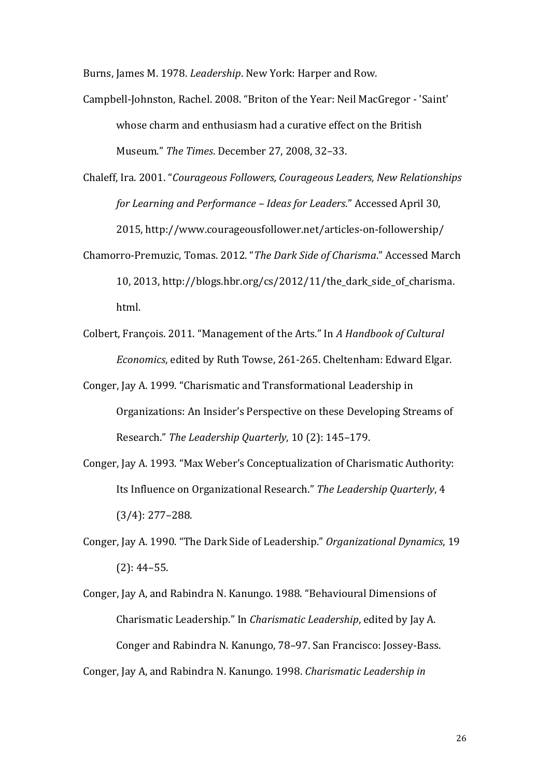Burns, James M. 1978. *Leadership*. New York: Harper and Row.

- Campbell-Johnston, Rachel. 2008. "Briton of the Year: Neil MacGregor 'Saint' whose charm and enthusiasm had a curative effect on the British Museum.╊ *The Times*. December 27, 2008, 32‒33.
- Chaleff, Ira. 2001. "Courageous Followers, Courageous Leaders, New Relationships *for Learning and Performance - Ideas for Leaders."* Accessed April 30, 2015, http://www.courageousfollower.net/articles-on-followership/
- Chamorro-Premuzic, Tomas. 2012. "The Dark Side of Charisma." Accessed March 10, 2013, http://blogs.hbr.org/cs/2012/11/the\_dark\_side\_of\_charisma. html.
- Colbert, François. 2011. "Management of the Arts." In A Handbook of Cultural *Economics*, edited by Ruth Towse, 261-265. Cheltenham: Edward Elgar.
- Conger, Jay A. 1999. "Charismatic and Transformational Leadership in Organizations: An Insider's Perspective on these Developing Streams of Research." The Leadership Quarterly, 10 (2): 145-179.
- Conger, Jay A. 1993. "Max Weber's Conceptualization of Charismatic Authority: Its Influence on Organizational Research." The Leadership Quarterly, 4  $(3/4): 277 - 288.$
- Conger, Jay A. 1990. "The Dark Side of Leadership." Organizational Dynamics, 19  $(2): 44-55.$
- Conger, Jay A, and Rabindra N. Kanungo. 1988. "Behavioural Dimensions of Charismatic Leadership." In *Charismatic Leadership*, edited by Jay A. Conger and Rabindra N. Kanungo, 78–97. San Francisco: Jossey-Bass. Conger, Jay A, and Rabindra N. Kanungo. 1998. *Charismatic Leadership in*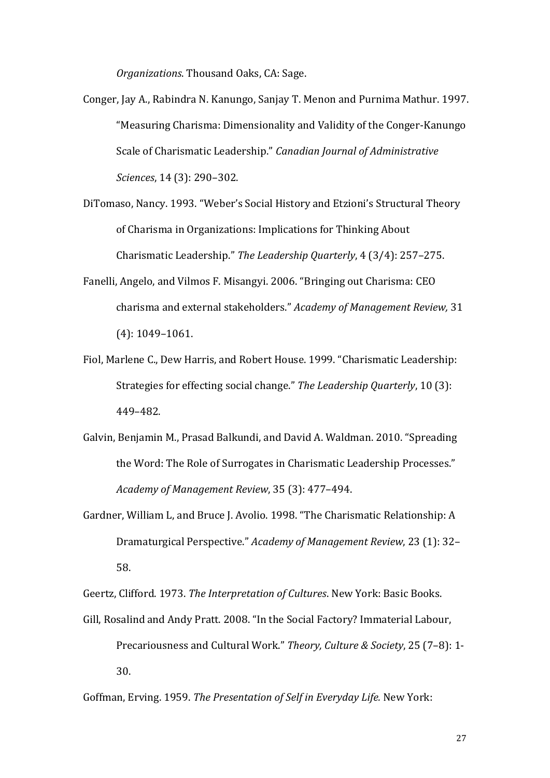*Organizations*. Thousand Oaks, CA: Sage.

- Conger, Jay A., Rabindra N. Kanungo, Sanjay T. Menon and Purnima Mathur. 1997. "Measuring Charisma: Dimensionality and Validity of the Conger-Kanungo Scale of Charismatic Leadership." Canadian Journal of Administrative *Sciences*, 14 (3): 290‒302.
- DiTomaso, Nancy. 1993. "Weber's Social History and Etzioni's Structural Theory of Charisma in Organizations: Implications for Thinking About Charismatic Leadership." The Leadership Quarterly, 4 (3/4): 257-275.
- Fanelli, Angelo, and Vilmos F. Misangyi. 2006. "Bringing out Charisma: CEO charisma and external stakeholders." Academy of Management Review, 31  $(4): 1049 - 1061.$
- Fiol, Marlene C., Dew Harris, and Robert House. 1999. "Charismatic Leadership: Strategies for effecting social change." The Leadership Quarterly, 10 (3): 449‒482.
- Galvin, Benjamin M., Prasad Balkundi, and David A. Waldman. 2010. "Spreading the Word: The Role of Surrogates in Charismatic Leadership Processes." *Academy of Management Review*, 35 (3): 477‒494.
- Gardner, William L, and Bruce J. Avolio. 1998. "The Charismatic Relationship: A Dramaturgical Perspective." Academy of Management Review, 23 (1): 32– 58.

Geertz, Clifford. 1973. *The Interpretation of Cultures*. New York: Basic Books.

Gill, Rosalind and Andy Pratt. 2008. "In the Social Factory? Immaterial Labour, Precariousness and Cultural Work." Theory, Culture & Society, 25 (7-8): 1-30.

Goffman, Erving. 1959. *The Presentation of Self in Everyday Life.* New York: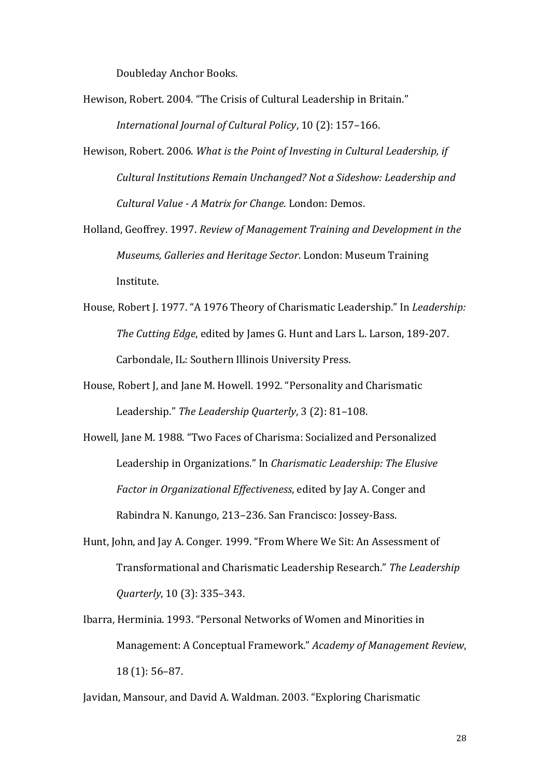Doubleday Anchor Books.

- Hewison, Robert. 2004. "The Crisis of Cultural Leadership in Britain." *International Journal of Cultural Policy, 10 (2): 157-166.*
- Hewison, Robert. 2006. *What is the Point of Investing in Cultural Leadership, if Cultural Institutions Remain Unchanged? Not a Sideshow: Leadership and Cultural Value - A Matrix for Change*. London: Demos.
- Holland, Geoffrey. 1997. *Review of Management Training and Development in the Museums, Galleries and Heritage Sector*. London: Museum Training Institute.
- House, Robert J. 1977. "A 1976 Theory of Charismatic Leadership." In *Leadership: The Cutting Edge*, edited by James G. Hunt and Lars L. Larson, 189-207. Carbondale, IL: Southern Illinois University Press.
- House, Robert J, and Jane M. Howell. 1992. "Personality and Charismatic Leadership." The Leadership Quarterly, 3 (2): 81-108.
- Howell, Jane M. 1988. "Two Faces of Charisma: Socialized and Personalized Leadership in Organizations." In *Charismatic Leadership: The Elusive Factor in Organizational Effectiveness*, edited by Jay A. Conger and Rabindra N. Kanungo, 213-236. San Francisco: Jossey-Bass.
- Hunt, John, and Jay A. Conger. 1999. "From Where We Sit: An Assessment of Transformational and Charismatic Leadership Research.╊ *The Leadership Quarterly*, 10 (3): 335‒343.
- Ibarra, Herminia. 1993. "Personal Networks of Women and Minorities in Management: A Conceptual Framework.╊ *Academy of Management Review*, 18 (1): 56‒87.

Javidan, Mansour, and David A. Waldman. 2003. "Exploring Charismatic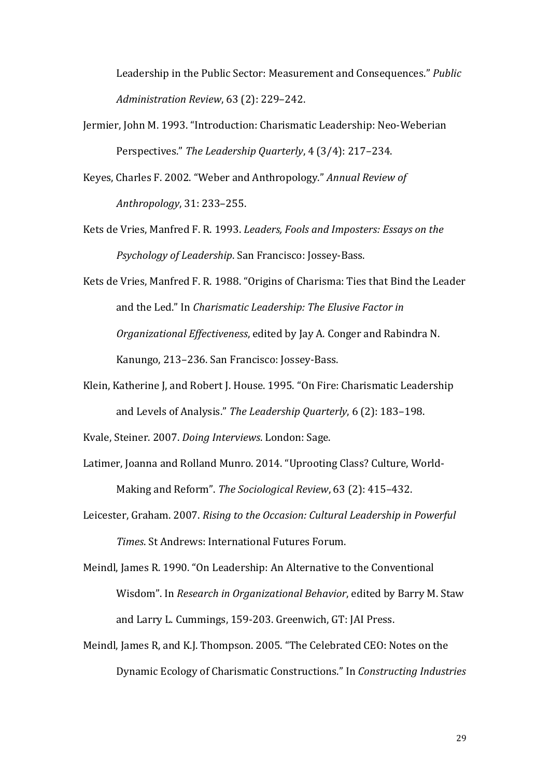Leadership in the Public Sector: Measurement and Consequences." Public *Administration Review*, 63 (2): 229‒242.

- Jermier, John M. 1993. "Introduction: Charismatic Leadership: Neo-Weberian Perspectives." The Leadership Quarterly, 4 (3/4): 217–234.
- Keyes, Charles F. 2002. "Weber and Anthropology." Annual Review of *Anthropology*, 31: 233‒255.
- Kets de Vries, Manfred F. R. 1993. *Leaders, Fools and Imposters: Essays on the Psychology of Leadership*. San Francisco: Jossey-Bass.
- Kets de Vries, Manfred F. R. 1988. "Origins of Charisma: Ties that Bind the Leader and the Led." In *Charismatic Leadership: The Elusive Factor in Organizational Effectiveness*, edited by Jay A. Conger and Rabindra N. Kanungo, 213-236. San Francisco: Jossey-Bass.
- Klein, Katherine J, and Robert J. House. 1995. "On Fire: Charismatic Leadership and Levels of Analysis." The Leadership Quarterly, 6 (2): 183-198.

Kvale, Steiner. 2007. *Doing Interviews*. London: Sage.

- Latimer, Joanna and Rolland Munro. 2014. "Uprooting Class? Culture, World-Making and Reform". The Sociological Review, 63 (2): 415–432.
- Leicester, Graham. 2007. *Rising to the Occasion: Cultural Leadership in Powerful Times*. St Andrews: International Futures Forum.

Meindl, James R. 1990. "On Leadership: An Alternative to the Conventional Wisdom". In *Research in Organizational Behavior*, edited by Barry M. Staw and Larry L. Cummings, 159-203. Greenwich, GT: JAI Press.

Meindl, James R, and K.J. Thompson. 2005. "The Celebrated CEO: Notes on the **Dynamic Ecology of Charismatic Constructions." In** *Constructing Industries*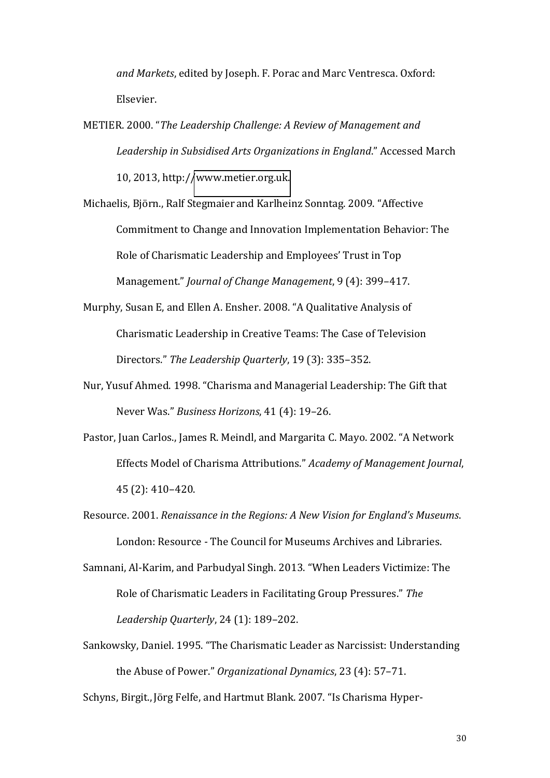*and Markets*, edited by Joseph. F. Porac and Marc Ventresca. Oxford: Elsevier.

METIER. 2000. "The Leadership Challenge: A Review of Management and Leadership in Subsidised Arts Organizations in England." Accessed March 10, 2013, http:/[/www.metier.org.uk.](http://www.metier.org.uk/)

Michaelis, Björn., Ralf Stegmaier and Karlheinz Sonntag. 2009. "Affective Commitment to Change and Innovation Implementation Behavior: The Role of Charismatic Leadership and Employees' Trust in Top Management." *Journal of Change Management*, 9 (4): 399-417.

Murphy, Susan E, and Ellen A. Ensher. 2008. "A Qualitative Analysis of Charismatic Leadership in Creative Teams: The Case of Television Directors." The Leadership Quarterly, 19 (3): 335-352.

- Nur, Yusuf Ahmed. 1998. "Charisma and Managerial Leadership: The Gift that Never Was." Business Horizons, 41 (4): 19-26.
- Pastor, Juan Carlos., James R. Meindl, and Margarita C. Mayo. 2002. "A Network Effects Model of Charisma Attributions.╊ *Academy of Management Journal*, 45 (2): 410‒420.
- Resource. 2001. *Renaissance in the Regions: A New Vision for England's Museums.* London: Resource - The Council for Museums Archives and Libraries.
- Samnani, Al-Karim, and Parbudyal Singh. 2013. "When Leaders Victimize: The Role of Charismatic Leaders in Facilitating Group Pressures." The *Leadership Quarterly*, 24 (1): 189-202.
- Sankowsky, Daniel. 1995. "The Charismatic Leader as Narcissist: Understanding the Abuse of Power." Organizational Dynamics, 23 (4): 57-71.

Schyns, Birgit., Jörg Felfe, and Hartmut Blank. 2007. "Is Charisma Hyper-